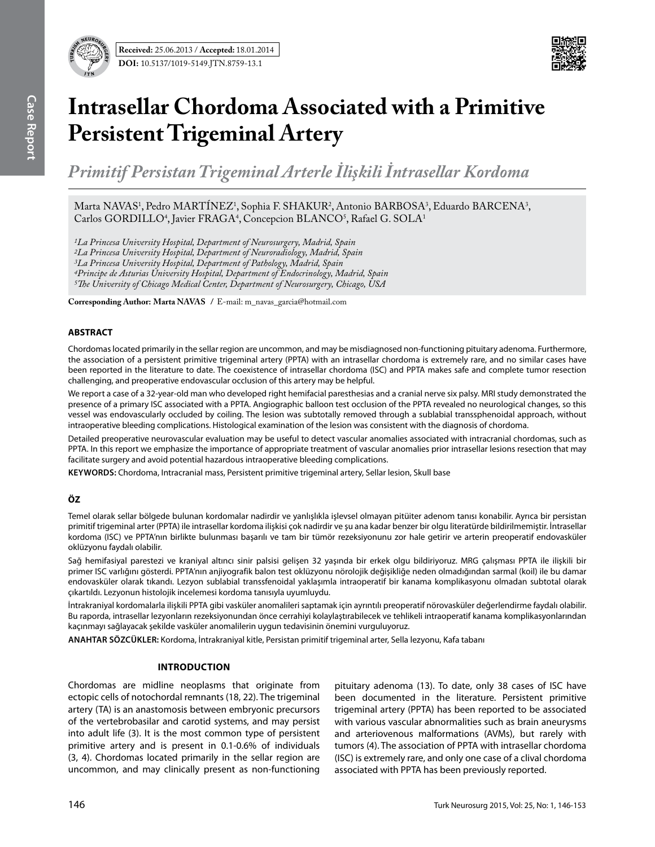

# **Intrasellar Chordoma Associated with a Primitive Persistent Trigeminal Artery**

*Primitif Persistan Trigeminal Arterle İlişkili İntrasellar Kordoma* 

Marta NAVAS<sup>1</sup>, Pedro MARTINEZ<sup>1</sup>, Sophia F. SHAKUR<sup>2</sup>, Antonio BARBOSA<sup>3</sup>, Eduardo BARCENA<sup>3</sup>, Carlos GORDILLO<sup>4</sup>, Javier FRAGA<sup>4</sup>, Concepcion BLANCO<sup>5</sup>, Rafael G. SOLA<sup>1</sup>

*1La Princesa University Hospital, Department of Neurosurgery, Madrid, Spain 2La Princesa University Hospital, Department of Neuroradiology, Madrid, Spain 3La Princesa University Hospital, Department of Pathology, Madrid, Spain*

*4Principe de Asturias University Hospital, Department of Endocrinology, Madrid, Spain*

*5The University of Chicago Medical Center, Department of Neurosurgery, Chicago, USA*

**Corresponding Author: Marta Navas /** E-mail: m\_navas\_garcia@hotmail.com

## **ABSTRACT**

Chordomas located primarily in the sellar region are uncommon, and may be misdiagnosed non-functioning pituitary adenoma. Furthermore, the association of a persistent primitive trigeminal artery (PPTA) with an intrasellar chordoma is extremely rare, and no similar cases have been reported in the literature to date. The coexistence of intrasellar chordoma (ISC) and PPTA makes safe and complete tumor resection challenging, and preoperative endovascular occlusion of this artery may be helpful.

We report a case of a 32-year-old man who developed right hemifacial paresthesias and a cranial nerve six palsy. MRI study demonstrated the presence of a primary ISC associated with a PPTA. Angiographic balloon test occlusion of the PPTA revealed no neurological changes, so this vessel was endovascularly occluded by coiling. The lesion was subtotally removed through a sublabial transsphenoidal approach, without intraoperative bleeding complications. Histological examination of the lesion was consistent with the diagnosis of chordoma.

Detailed preoperative neurovascular evaluation may be useful to detect vascular anomalies associated with intracranial chordomas, such as PPTA. In this report we emphasize the importance of appropriate treatment of vascular anomalies prior intrasellar lesions resection that may facilitate surgery and avoid potential hazardous intraoperative bleeding complications.

**Keywords:** Chordoma, Intracranial mass, Persistent primitive trigeminal artery, Sellar lesion, Skull base

# **ÖZ**

Temel olarak sellar bölgede bulunan kordomalar nadirdir ve yanlışlıkla işlevsel olmayan pitüiter adenom tanısı konabilir. Ayrıca bir persistan primitif trigeminal arter (PPTA) ile intrasellar kordoma ilişkisi çok nadirdir ve şu ana kadar benzer bir olgu literatürde bildirilmemiştir. İntrasellar kordoma (ISC) ve PPTA'nın birlikte bulunması başarılı ve tam bir tümör rezeksiyonunu zor hale getirir ve arterin preoperatif endovasküler oklüzyonu faydalı olabilir.

Sağ hemifasiyal parestezi ve kraniyal altıncı sinir palsisi gelişen 32 yaşında bir erkek olgu bildiriyoruz. MRG çalışması PPTA ile ilişkili bir primer ISC varlığını gösterdi. PPTA'nın anjiyografik balon test oklüzyonu nörolojik değişikliğe neden olmadığından sarmal (koil) ile bu damar endovasküler olarak tıkandı. Lezyon sublabial transsfenoidal yaklaşımla intraoperatif bir kanama komplikasyonu olmadan subtotal olarak çıkartıldı. Lezyonun histolojik incelemesi kordoma tanısıyla uyumluydu.

İntrakraniyal kordomalarla ilişkili PPTA gibi vasküler anomalileri saptamak için ayrıntılı preoperatif nörovasküler değerlendirme faydalı olabilir. Bu raporda, intrasellar lezyonların rezeksiyonundan önce cerrahiyi kolaylaştırabilecek ve tehlikeli intraoperatif kanama komplikasyonlarından kaçınmayı sağlayacak şekilde vasküler anomalilerin uygun tedavisinin önemini vurguluyoruz.

**ANAHTAR SÖZCÜKLER:** Kordoma, İntrakraniyal kitle, Persistan primitif trigeminal arter, Sella lezyonu, Kafa tabanı

# **IntroductIon**

Chordomas are midline neoplasms that originate from ectopic cells of notochordal remnants (18, 22). The trigeminal artery (TA) is an anastomosis between embryonic precursors of the vertebrobasilar and carotid systems, and may persist into adult life (3). It is the most common type of persistent primitive artery and is present in 0.1-0.6% of individuals (3, 4). Chordomas located primarily in the sellar region are uncommon, and may clinically present as non-functioning

pituitary adenoma (13). To date, only 38 cases of ISC have been documented in the literature. Persistent primitive trigeminal artery (PPTA) has been reported to be associated with various vascular abnormalities such as brain aneurysms and arteriovenous malformations (AVMs), but rarely with tumors (4). The association of PPTA with intrasellar chordoma (ISC) is extremely rare, and only one case of a clival chordoma associated with PPTA has been previously reported.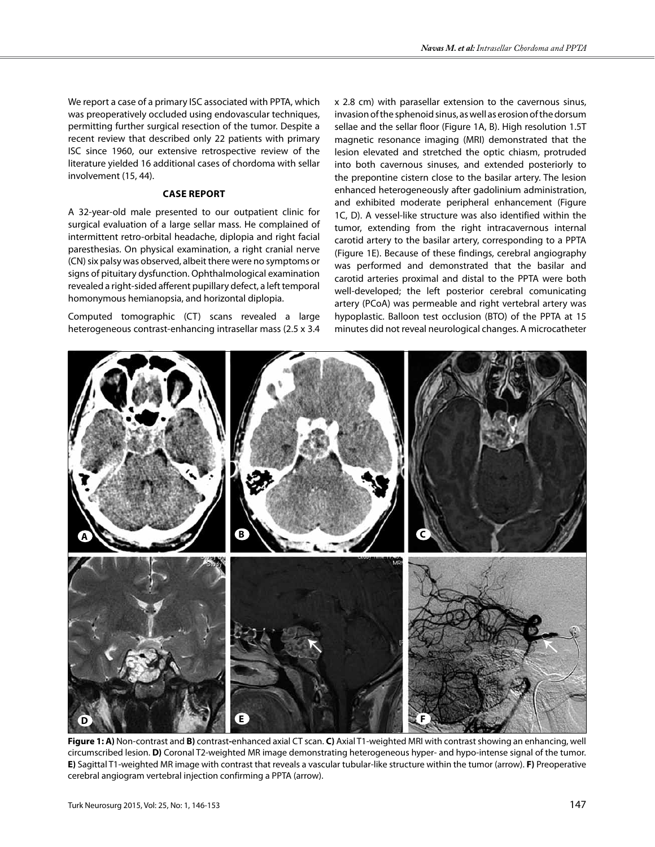We report a case of a primary ISC associated with PPTA, which was preoperatively occluded using endovascular techniques, permitting further surgical resection of the tumor. Despite a recent review that described only 22 patients with primary ISC since 1960, our extensive retrospective review of the literature yielded 16 additional cases of chordoma with sellar involvement (15, 44).

#### **Case Report**

A 32-year-old male presented to our outpatient clinic for surgical evaluation of a large sellar mass. He complained of intermittent retro-orbital headache, diplopia and right facial paresthesias. On physical examination, a right cranial nerve (CN) six palsy was observed, albeit there were no symptoms or signs of pituitary dysfunction. Ophthalmological examination revealed a right-sided afferent pupillary defect, a left temporal homonymous hemianopsia, and horizontal diplopia.

Computed tomographic (CT) scans revealed a large heterogeneous contrast-enhancing intrasellar mass (2.5 x 3.4 x 2.8 cm) with parasellar extension to the cavernous sinus, invasion of the sphenoid sinus, as well as erosion of the dorsum sellae and the sellar floor (Figure 1A, B). High resolution 1.5T magnetic resonance imaging (MRI) demonstrated that the lesion elevated and stretched the optic chiasm, protruded into both cavernous sinuses, and extended posteriorly to the prepontine cistern close to the basilar artery. The lesion enhanced heterogeneously after gadolinium administration, and exhibited moderate peripheral enhancement (Figure 1C, D). A vessel-like structure was also identified within the tumor, extending from the right intracavernous internal carotid artery to the basilar artery, corresponding to a PPTA (Figure 1E). Because of these findings, cerebral angiography was performed and demonstrated that the basilar and carotid arteries proximal and distal to the PPTA were both well-developed; the left posterior cerebral comunicating artery (PCoA) was permeable and right vertebral artery was hypoplastic. Balloon test occlusion (BTO) of the PPTA at 15 minutes did not reveal neurological changes. A microcatheter



**Figure 1: A)** Non-contrast and **B)** contrast**-**enhanced axial CT scan. **C)** Axial T1-weighted MRI with contrast showing an enhancing, well circumscribed lesion. **D)** Coronal T2-weighted MR image demonstrating heterogeneous hyper- and hypo-intense signal of the tumor. **E)** Sagittal T1-weighted MR image with contrast that reveals a vascular tubular-like structure within the tumor (arrow). **F)** Preoperative cerebral angiogram vertebral injection confirming a PPTA (arrow).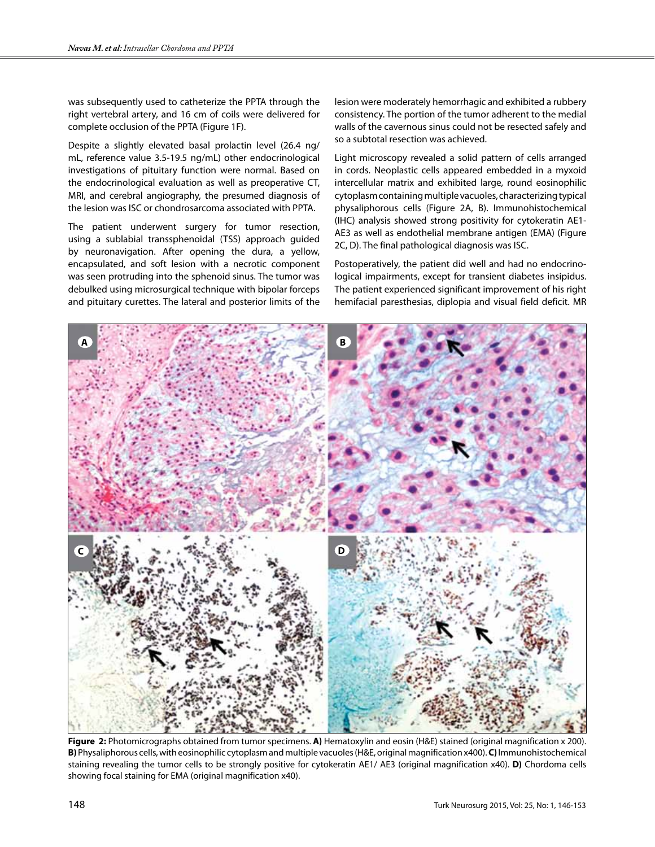was subsequently used to catheterize the PPTA through the right vertebral artery, and 16 cm of coils were delivered for complete occlusion of the PPTA (Figure 1F).

Despite a slightly elevated basal prolactin level (26.4 ng/ mL, reference value 3.5-19.5 ng/mL) other endocrinological investigations of pituitary function were normal. Based on the endocrinological evaluation as well as preoperative CT, MRI, and cerebral angiography, the presumed diagnosis of the lesion was ISC or chondrosarcoma associated with PPTA.

The patient underwent surgery for tumor resection, using a sublabial transsphenoidal (TSS) approach guided by neuronavigation. After opening the dura, a yellow, encapsulated, and soft lesion with a necrotic component was seen protruding into the sphenoid sinus. The tumor was debulked using microsurgical technique with bipolar forceps and pituitary curettes. The lateral and posterior limits of the lesion were moderately hemorrhagic and exhibited a rubbery consistency. The portion of the tumor adherent to the medial walls of the cavernous sinus could not be resected safely and so a subtotal resection was achieved.

Light microscopy revealed a solid pattern of cells arranged in cords. Neoplastic cells appeared embedded in a myxoid intercellular matrix and exhibited large, round eosinophilic cytoplasm containing multiple vacuoles, characterizing typical physaliphorous cells (Figure 2A, B). Immunohistochemical (IHC) analysis showed strong positivity for cytokeratin AE1- AE3 as well as endothelial membrane antigen (EMA) (Figure 2C, D). The final pathological diagnosis was ISC.

Postoperatively, the patient did well and had no endocrinological impairments, except for transient diabetes insipidus. The patient experienced significant improvement of his right hemifacial paresthesias, diplopia and visual field deficit. MR



**Figure 2:** Photomicrographs obtained from tumor specimens. **A)** Hematoxylin and eosin (H&E) stained (original magnification x 200). **B)** Physaliphorous cells, with eosinophilic cytoplasm and multiple vacuoles (H&E, original magnification x400). **C)** Immunohistochemical staining revealing the tumor cells to be strongly positive for cytokeratin AE1/ AE3 (original magnification x40). **D)** Chordoma cells showing focal staining for EMA (original magnification x40).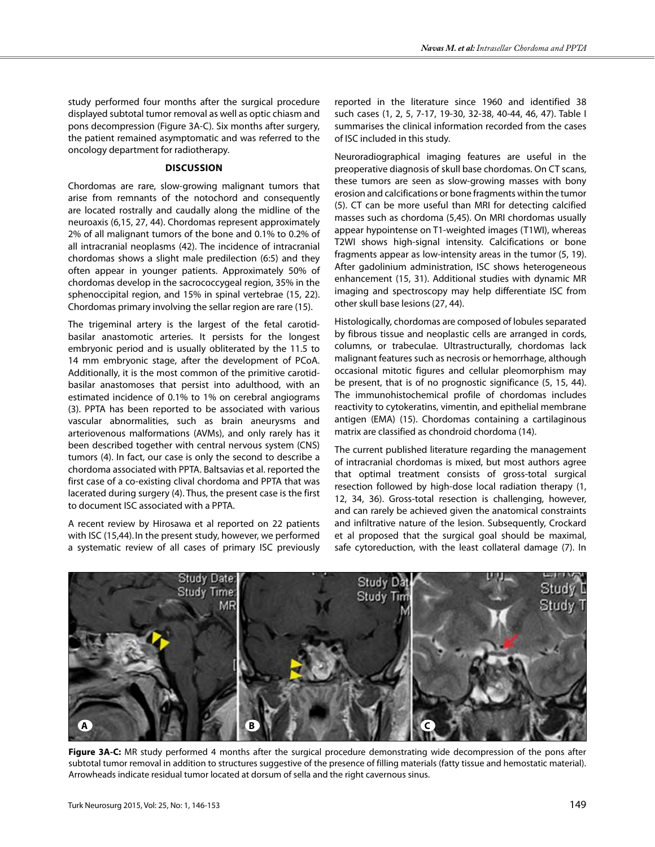study performed four months after the surgical procedure displayed subtotal tumor removal as well as optic chiasm and pons decompression (Figure 3A-C). Six months after surgery, the patient remained asymptomatic and was referred to the oncology department for radiotherapy.

## **DIscussıon**

Chordomas are rare, slow-growing malignant tumors that arise from remnants of the notochord and consequently are located rostrally and caudally along the midline of the neuroaxis (6,15, 27, 44). Chordomas represent approximately 2% of all malignant tumors of the bone and 0.1% to 0.2% of all intracranial neoplasms (42). The incidence of intracranial chordomas shows a slight male predilection (6:5) and they often appear in younger patients. Approximately 50% of chordomas develop in the sacrococcygeal region, 35% in the sphenoccipital region, and 15% in spinal vertebrae (15, 22). Chordomas primary involving the sellar region are rare (15).

The trigeminal artery is the largest of the fetal carotidbasilar anastomotic arteries. It persists for the longest embryonic period and is usually obliterated by the 11.5 to 14 mm embryonic stage, after the development of PCoA. Additionally, it is the most common of the primitive carotidbasilar anastomoses that persist into adulthood, with an estimated incidence of 0.1% to 1% on cerebral angiograms (3). PPTA has been reported to be associated with various vascular abnormalities, such as brain aneurysms and arteriovenous malformations (AVMs), and only rarely has it been described together with central nervous system (CNS) tumors (4). In fact, our case is only the second to describe a chordoma associated with PPTA. Baltsavias et al. reported the first case of a co-existing clival chordoma and PPTA that was lacerated during surgery (4). Thus, the present case is the first to document ISC associated with a PPTA.

A recent review by Hirosawa et al reported on 22 patients with ISC (15,44). In the present study, however, we performed a systematic review of all cases of primary ISC previously

reported in the literature since 1960 and identified 38 such cases (1, 2, 5, 7-17, 19-30, 32-38, 40-44, 46, 47). Table I summarises the clinical information recorded from the cases of ISC included in this study.

Neuroradiographical imaging features are useful in the preoperative diagnosis of skull base chordomas. On CT scans, these tumors are seen as slow-growing masses with bony erosion and calcifications or bone fragments within the tumor (5). CT can be more useful than MRI for detecting calcified masses such as chordoma (5,45). On MRI chordomas usually appear hypointense on T1-weighted images (T1WI), whereas T2WI shows high-signal intensity. Calcifications or bone fragments appear as low-intensity areas in the tumor (5, 19). After gadolinium administration, ISC shows heterogeneous enhancement (15, 31). Additional studies with dynamic MR imaging and spectroscopy may help differentiate ISC from other skull base lesions (27, 44).

Histologically, chordomas are composed of lobules separated by fibrous tissue and neoplastic cells are arranged in cords, columns, or trabeculae. Ultrastructurally, chordomas lack malignant features such as necrosis or hemorrhage, although occasional mitotic figures and cellular pleomorphism may be present, that is of no prognostic significance (5, 15, 44). The immunohistochemical profile of chordomas includes reactivity to cytokeratins, vimentin, and epithelial membrane antigen (EMA) (15). Chordomas containing a cartilaginous matrix are classified as chondroid chordoma (14).

The current published literature regarding the management of intracranial chordomas is mixed, but most authors agree that optimal treatment consists of gross-total surgical resection followed by high-dose local radiation therapy (1, 12, 34, 36). Gross-total resection is challenging, however, and can rarely be achieved given the anatomical constraints and infiltrative nature of the lesion. Subsequently, Crockard et al proposed that the surgical goal should be maximal, safe cytoreduction, with the least collateral damage (7). In



**Figure 3A-C:** MR study performed 4 months after the surgical procedure demonstrating wide decompression of the pons after subtotal tumor removal in addition to structures suggestive of the presence of filling materials (fatty tissue and hemostatic material). Arrowheads indicate residual tumor located at dorsum of sella and the right cavernous sinus.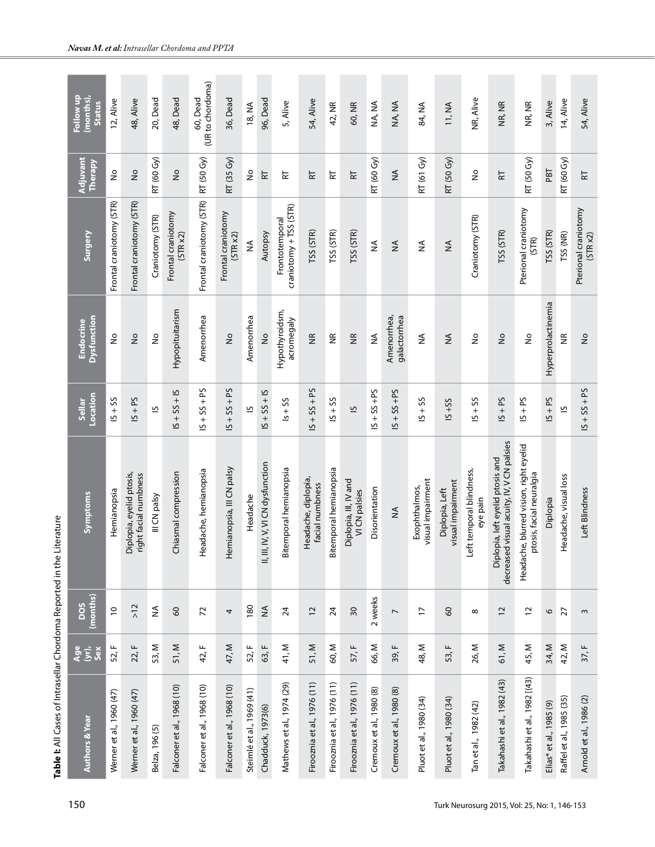| Follow up<br>$(m$ onths),<br><b>Status</b> | 12, Alive                            | 48, Alive                                         | 20, Dead                     | 48, Dead                       | (UR to chordoma)<br>60, Dead | 36, Dead                       | 18, NA                     | 96, Dead                          | 5, Alive                                   | 54, Alive                              | 42, NR                      | 60, NR                                 | NA, NA                   | NA, NA                      | 84, NA                             | 11, NA                              | NR, Alive                            | NR, NR                                                                        | NR, NR                                                             | 3, Alive                | 14, Alive                     | 54, Alive                        |
|--------------------------------------------|--------------------------------------|---------------------------------------------------|------------------------------|--------------------------------|------------------------------|--------------------------------|----------------------------|-----------------------------------|--------------------------------------------|----------------------------------------|-----------------------------|----------------------------------------|--------------------------|-----------------------------|------------------------------------|-------------------------------------|--------------------------------------|-------------------------------------------------------------------------------|--------------------------------------------------------------------|-------------------------|-------------------------------|----------------------------------|
| Adjuvant<br>Therapy                        | $\stackrel{\mathtt{o}}{\mathcal{Z}}$ | $\frac{1}{2}$                                     | RT (60 Gy)                   | $\gtrsim$                      | RT (50 Gy)                   | RT (35 Gy)                     | $\stackrel{\circ}{\simeq}$ | F                                 | F                                          | 납                                      | F                           | $\overline{R}$                         | RT (60 Gy)               | $\frac{1}{2}$               | RT (61 Gy)                         | RT (50 Gy)                          | $\frac{1}{2}$                        | F                                                                             | RT (50 Gy)                                                         | PBT                     | RT (60 Gy)                    | F                                |
| Surgery                                    | Frontal craniotomy (STR)             | Frontal craniotomy (STR)                          | Craniotomy (STR)             | Frontal craniotomy<br>(STR x2) | Frontal craniotomy (STR)     | Frontal craniotomy<br>(STR x2) | ≨                          | Autopsy                           | $craniotomy + TSS (STR)$<br>Frontotemporal | TSS (STR)                              | TSS (STR)                   | TSS (STR)                              | $\frac{1}{2}$            | $\lessgtr$                  | ≨                                  | $\lessgtr$                          | Craniotomy (STR)                     | TSS (STR)                                                                     | Pterional craniotomy<br>(STR)                                      | TSS (STR)               | TSS (NR)                      | Pterional craniotomy<br>(STR x2) |
| Dysfunction<br>Endocrine                   | $\frac{1}{2}$                        | $\frac{1}{2}$                                     | $\frac{1}{2}$                | Hypopituitarism                | Amenorrhea                   | $\frac{1}{2}$                  | Amenorrhea                 | $\frac{1}{2}$                     | Hypothyroidsm,<br>acromegaly               | $\frac{\alpha}{\beta}$                 | $\widetilde{\Xi}$           | $\widetilde{\Xi}$                      | ≨                        | galactorrhea<br>Amenorrhea, | ≸                                  | $\lessgtr$                          | $\frac{1}{2}$                        | $\frac{1}{2}$                                                                 | $\frac{1}{2}$                                                      | Hyperprolactinemia      | $\frac{\alpha}{2}$            | $\frac{1}{2}$                    |
| Location<br>Sellar                         | $SS + SI$                            | $IS + PS$                                         | $\overline{6}$               | $15 + 55 + 15$                 | $S + SS + PS$                | $15 + 55 + 55$                 | $\overline{6}$             | $S + SS + IS$                     | $SS + 5$                                   | $15 + 55 + 55$                         | $SS + SI$                   | $\overline{6}$                         | $S + SS + PS$            | $S + SS + PS$               | $SS + SI$                          | $S+SS$                              | $SS + SI$                            | $IS + PS$                                                                     | $S + PS$                                                           | $S4 + S$                | $\overline{6}$                | $15 + 55 + 55$                   |
| Symptoms                                   | Hemianopsia                          | Diplopia, eyelid ptosis,<br>right facial numbness | III CN palsy                 | Chiasmal compression           | Headache, hemianopsia        | Hemianopsia, III CN palsy      | Headache                   | II, III, IV, V, VI CN dysfunction | Bitemporal hemianopsia                     | Headache, diplopía,<br>facial numbness | Bitemporal hemianopsia      | Diplopia, III, IV and<br>VI CN palsies | Disorientation           | $\frac{1}{2}$               | visual impairment<br>Exophthalmos, | visual impairment<br>Diplopia, Left | Left temporal blindness,<br>eye pain | decreased visual acuity, IV, V CN palsies<br>Diplopia, left eyelid ptosis and | Headache, blurred vision, right eyelid<br>ptosis, facial neuralgia | Diplopia                | adache, visual loss<br>а<br>Н | Left Blindness                   |
| (months)<br>DOS                            | $\overline{C}$                       | >12                                               | $\stackrel{\triangle}{\geq}$ | $\infty$                       | $\overline{z}$               | 4                              | 180                        | $\frac{1}{2}$                     | $\overline{24}$                            | 12                                     | $\overline{24}$             | 30                                     | 2 weeks                  | $\overline{\phantom{a}}$    | $\overline{1}$                     | $\infty$                            | $\infty$                             | $\overline{c}$                                                                | $\overline{C}$                                                     | $\circ$                 | 27                            | 3                                |
| <b>Age</b><br>Sex                          | 52, F                                | 22, F                                             | 53, M                        | 51, M                          | щ<br>42,                     | 47, M                          | 52, F                      | 63, F                             | 41, M                                      | 51, M                                  | 60, M                       | 57, F                                  | 66, M                    | 39, F                       | 48, M                              | 53, F                               | 26, M                                | 61, M                                                                         | 45, M                                                              | 34, M                   | 42, M                         | 37, F                            |
| <b>Authors &amp; Year</b>                  | Werner et al., 1960 (47)             | Werner et al., 1960 (47)                          | Belza, 196 (5)               | Falconer et al., 1968 (10)     | Falconer et al., 1968 (10)   | Falconer et al., 1968 (10)     | Steimlé et al., 1969 (41)  | Chadduck, 1973(6)                 | Mathews et al., 1974 (29)                  | Firooznia et al., 1976 (11)            | Firooznia et al., 1976 (11) | Firooznia et al., 1976 (11)            | Cremoux et al., 1980 (8) | Cremoux et al., 1980 (8)    | Pluot et al., 1980 (34)            | Pluot et al., 1980 (34)             | Tan et al., 1982 (42)                | Takahashi et al., 1982 (43)                                                   | Takahashi et al., 1982 [(43)                                       | Elias* et al., 1985 (9) | Raffel et al., 1985 (35)      | Arnold et al., 1986 (2)          |

**Table I:** All Cases of Intrasellar Chordoma Reported in the Literature

Table I: All Cases of Intrasellar Chordoma Reported in the Literature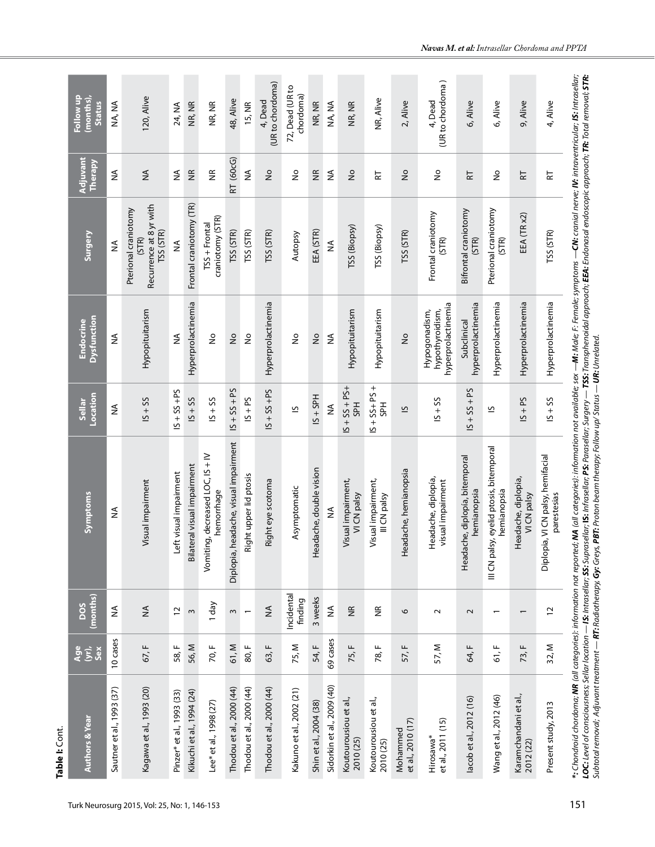| Follow up<br>(months)<br><b>Status</b> | NA, NA                    | 120, Alive                                                            | 24, NA                    | NR, NR                      | NR, NR                                           | 48, Alive                             | 15, NR                   | (UR to chordoma)<br>4, Dead | 72, Dead (UR to<br>chordoma) | NR, NR                  | NA, NA                     | NR, NR                            | NR, Alive                          | 2, Alive                      | (UR to chordoma)<br>4, Dead                            | 6, Alive                                      | 6, Alive                                                  | 9, Alive                           | 4, Alive                                         |                                                                                                                                                                                                                                                                                                                                                                                                                                                                |
|----------------------------------------|---------------------------|-----------------------------------------------------------------------|---------------------------|-----------------------------|--------------------------------------------------|---------------------------------------|--------------------------|-----------------------------|------------------------------|-------------------------|----------------------------|-----------------------------------|------------------------------------|-------------------------------|--------------------------------------------------------|-----------------------------------------------|-----------------------------------------------------------|------------------------------------|--------------------------------------------------|----------------------------------------------------------------------------------------------------------------------------------------------------------------------------------------------------------------------------------------------------------------------------------------------------------------------------------------------------------------------------------------------------------------------------------------------------------------|
| Adjuvant<br>Therapy                    | ≨                         | $\lessgtr$                                                            | ≸                         | $\frac{\alpha}{\beta}$      | $\widetilde{\Xi}$                                | RT (60cG)                             | $\frac{1}{2}$            | $\frac{1}{2}$               | $\stackrel{\circ}{\simeq}$   | $\widetilde{\Xi}$       | $\lessgtr$                 | $\frac{1}{2}$                     | 눉                                  | $\frac{1}{2}$                 | $\stackrel{\mathtt{o}}{z}$                             | 눈                                             | $\frac{1}{2}$                                             | 군                                  | 납                                                |                                                                                                                                                                                                                                                                                                                                                                                                                                                                |
| Surgery                                | ≨                         | Recurrence at 8 yr with<br>Pterional craniotomy<br>TSS (STR)<br>(STR) | ≸                         | Frontal craniotomy (TR)     | craniotomy (STR)<br>TSS + Frontal                | TSS (STR)                             | TSS (STR)                | TSS (STR)                   | Autopsy                      | EEA (STR)               | ≨                          | TSS (Biopsy)                      | TSS (Biopsy)                       | TSS (STR)                     | Frontal craniotomy<br>(STR)                            | Bifrontal craniotomy<br>(STR)                 | Pterional craniotomy<br>(STR)                             | EEA (TR x2)                        | TSS (STR)                                        |                                                                                                                                                                                                                                                                                                                                                                                                                                                                |
| Dysfunction<br><b>Endocrine</b>        | ≨                         | Hypopituitarism                                                       | ≸                         | Hyperprolactinemia          | $\frac{1}{2}$                                    | $\frac{1}{2}$                         | $\frac{1}{2}$            | Hyperprolactinemia          | ş                            | $\frac{1}{2}$           | ≨                          | Hypopituitarism                   | Hypopituitarism                    | $\frac{1}{2}$                 | hyperprolactinemia<br>hypothyroidism,<br>Hypogonadism, | hyperprolactinemia<br>Subclinical             | Hyperprolactinemia                                        | Hyperprolactinemia                 | Hyperprolactinemia                               |                                                                                                                                                                                                                                                                                                                                                                                                                                                                |
| Location<br>Sellar                     | ≨                         | $SS + 5$                                                              | $S + SS + PS$             | $SS + SI$                   | $15 + 55$                                        | $15 + 55 + 55$                        | $IS + PS$                | $S + SS + PS$               | $\overline{6}$               | $15 + SPH$              | ≨                          | $-S4 + SS + PS+$<br><b>H</b> S    | $S + SS + PS +$<br>ЪÆ              | $\overline{\mathbf{c}}$       | $15 + 55$                                              | $15 + 55 + 55$                                | $\overline{6}$                                            | $S1 + S2$                          | $SS + 5S$                                        |                                                                                                                                                                                                                                                                                                                                                                                                                                                                |
| Symptoms                               | $\lessapprox$             | Visual impairment                                                     | visual impairment<br>Left | Bilateral visual impairment | decreased LOC, IS + IV<br>hemorrhage<br>Vomiting | Diplopia, headache, visual impairment | Right upper lid ptosis   | Right eye scotoma           | Asymptomatic                 | Headache, double vision | ≨                          | Visual impairment,<br>VI CN palsy | Visual impairment,<br>III CN palsy | Headache, hemianopsia         | Headache, diplopía,<br>visual impairment               | Headache, diplopía, bitemporal<br>hemianopsia | eyelid ptosis, bitemporal<br>hemianopsia<br>III CN palsy, | Headache, diplopia,<br>VI CN palsy | Diplopia, VI CN palsy, hemifacial<br>parestesias | *: Chondroid chordoma; <b>NR</b> (all categories): information not reported; <b>NA</b> (all categories): information not available; sex —Mt Male; F: Female; symptoms — <b>CN:</b> cranid nerve; <b>IV: i</b> ntraventricular; <b>IS:</b> Intrasellar;<br>LOC: Level of consciousness; Sellar location — IS: Intrasellar; SS: Suprasellar; IS: Infrasellar; Sugery — TSS: Transphenoidal approach; EEA: Endonasal endoscopic approach; TR: Total removal; STR: |
| (months)<br>DOS                        | $\lessgtr$                | $\lessgtr$                                                            | $\overline{c}$            | $\omega$                    | 1 day                                            | $\sim$                                | $\overline{\phantom{0}}$ | $\frac{4}{2}$               | Incidental<br>finding        | 3 weeks                 | ≨                          | $\frac{\alpha}{2}$                | $\widetilde{\Xi}$                  | $\circ$                       | $\sim$                                                 | $\sim$                                        |                                                           | $\overline{ }$                     | $\overline{c}$                                   |                                                                                                                                                                                                                                                                                                                                                                                                                                                                |
| <b>Age</b><br>šê                       | 10 cases                  | 67, F                                                                 | 58, F                     | 56, M                       | 70, F                                            | 61, M                                 | 80, F                    | 63, F                       | 75, M                        | 54, F                   | 69 cases                   | 75, F                             | 78, F                              | 57, F                         | 57, M                                                  | 64, F                                         | 61, F                                                     | 73, F                              | 32, M                                            |                                                                                                                                                                                                                                                                                                                                                                                                                                                                |
| <b>Authors &amp; Year</b>              | Sautner et al., 1993 (37) | Kagawa et al., 1993 (20)                                              | Pinzer* et al., 1993 (33) | Kikuchi et al., 1994 (24)   | Lee* et al., 1998 (27)                           | Thodou et al., 2000 (44)              | Thodou et al., 2000 (44) | Thodou et al., 2000 (44)    | Kakuno et al., 2002 (21)     | Shin et al., 2004 (38)  | Sidorkin et al., 2009 (40) | Koutourousiou et al.,<br>2010(25) | Koutourousiou et al.,<br>2010 (25) | et al., 2010 (17)<br>Mohammed | et al., 2011 (15)<br>Hirosawa*                         | lacob et al., 2012 (16)                       | Wang et al., 2012 (46)                                    | Karamchandani et al.,<br>2012 (22) | Present study, 2013                              | Subtotal removal; Adjuvant treatment — <b>RT:</b> Radiotherapy, Gry. Greys, <b>PBT:</b> Proton beam therapy; Follow up/ Status — <b>UR:</b> Unrelated.                                                                                                                                                                                                                                                                                                         |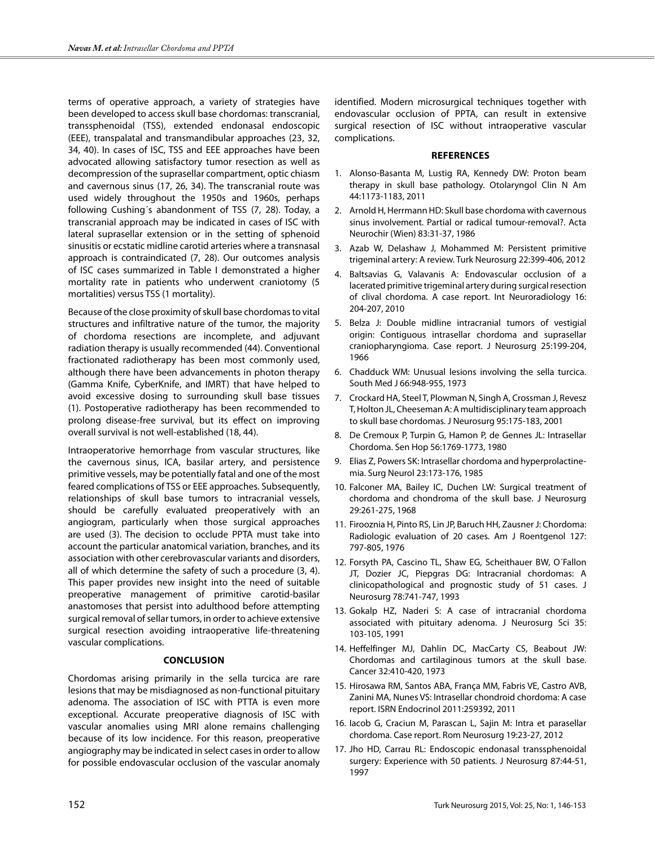terms of operative approach, a variety of strategies have been developed to access skull base chordomas: transcranial, transsphenoidal (TSS), extended endonasal endoscopic (EEE), transpalatal and transmandibular approaches (23, 32, 34, 40). In cases of ISC, TSS and EEE approaches have been advocated allowing satisfactory tumor resection as well as decompression of the suprasellar compartment, optic chiasm and cavernous sinus (17, 26, 34). The transcranial route was used widely throughout the 1950s and 1960s, perhaps following Cushing´s abandonment of TSS (7, 28). Today, a transcranial approach may be indicated in cases of ISC with lateral suprasellar extension or in the setting of sphenoid sinusitis or ecstatic midline carotid arteries where a transnasal approach is contraindicated (7, 28). Our outcomes analysis of ISC cases summarized in Table I demonstrated a higher mortality rate in patients who underwent craniotomy (5 mortalities) versus TSS (1 mortality).

Because of the close proximity of skull base chordomas to vital structures and infiltrative nature of the tumor, the majority of chordoma resections are incomplete, and adjuvant radiation therapy is usually recommended (44). Conventional fractionated radiotherapy has been most commonly used, although there have been advancements in photon therapy (Gamma Knife, CyberKnife, and IMRT) that have helped to avoid excessive dosing to surrounding skull base tissues (1). Postoperative radiotherapy has been recommended to prolong disease-free survival, but its effect on improving overall survival is not well-established (18, 44).

Intraoperatorive hemorrhage from vascular structures, like the cavernous sinus, ICA, basilar artery, and persistence primitive vessels, may be potentially fatal and one of the most feared complications of TSS or EEE approaches. Subsequently, relationships of skull base tumors to intracranial vessels, should be carefully evaluated preoperatively with an angiogram, particularly when those surgical approaches are used (3). The decision to occlude PPTA must take into account the particular anatomical variation, branches, and its association with other cerebrovascular variants and disorders, all of which determine the safety of such a procedure (3, 4). This paper provides new insight into the need of suitable preoperative management of primitive carotid-basilar anastomoses that persist into adulthood before attempting surgical removal of sellar tumors, in order to achieve extensive surgical resection avoiding intraoperative life-threatening vascular complications.

## **Conclusıon**

Chordomas arising primarily in the sella turcica are rare lesions that may be misdiagnosed as non-functional pituitary adenoma. The association of ISC with PTTA is even more exceptional. Accurate preoperative diagnosis of ISC with vascular anomalies using MRI alone remains challenging because of its low incidence. For this reason, preoperative angiography may be indicated in select cases in order to allow for possible endovascular occlusion of the vascular anomaly identified. Modern microsurgical techniques together with endovascular occlusion of PPTA, can result in extensive surgical resection of ISC without intraoperative vascular complications.

#### **References**

- 1. Alonso-Basanta M, Lustig RA, Kennedy DW: Proton beam therapy in skull base pathology. Otolaryngol Clin N Am 44:1173-1183, 2011
- 2. Arnold H, Herrmann HD: Skull base chordoma with cavernous sinus involvement. Partial or radical tumour-removal?. Acta Neurochir (Wien) 83:31-37, 1986
- 3. Azab W, Delashaw J, Mohammed M: Persistent primitive trigeminal artery: A review. Turk Neurosurg 22:399-406, 2012
- 4. Baltsavias G, Valavanis A: Endovascular occlusion of a lacerated primitive trigeminal artery during surgical resection of clival chordoma. A case report. Int Neuroradiology 16: 204-207, 2010
- 5. Belza J: Double midline intracranial tumors of vestigial origin: Contiguous intrasellar chordoma and suprasellar craniopharyngioma. Case report. J Neurosurg 25:199-204, 1966
- 6. Chadduck WM: Unusual lesions involving the sella turcica. South Med J 66:948-955, 1973
- 7. Crockard HA, Steel T, Plowman N, Singh A, Crossman J, Revesz T, Holton JL, Cheeseman A: A multidisciplinary team approach to skull base chordomas. J Neurosurg 95:175-183, 2001
- 8. De Cremoux P, Turpin G, Hamon P, de Gennes JL: Intrasellar Chordoma. Sen Hop 56:1769-1773, 1980
- 9. Elias Z, Powers SK: Intrasellar chordoma and hyperprolactinemia. Surg Neurol 23:173-176, 1985
- 10. Falconer MA, Bailey IC, Duchen LW: Surgical treatment of chordoma and chondroma of the skull base. J Neurosurg 29:261-275, 1968
- 11. Firooznia H, Pinto RS, Lin JP, Baruch HH, Zausner J: Chordoma: Radiologic evaluation of 20 cases. Am J Roentgenol 127: 797-805, 1976
- 12. Forsyth PA, Cascino TL, Shaw EG, Scheithauer BW, O´Fallon JT, Dozier JC, Piepgras DG: Intracranial chordomas: A clinicopathological and prognostic study of 51 cases. J Neurosurg 78:741-747, 1993
- 13. Gokalp HZ, Naderi S: A case of intracranial chordoma associated with pituitary adenoma. J Neurosurg Sci 35: 103-105, 1991
- 14. Heffelfinger MJ, Dahlin DC, MacCarty CS, Beabout JW: Chordomas and cartilaginous tumors at the skull base. Cancer 32:410-420, 1973
- 15. Hirosawa RM, Santos ABA, França MM, Fabris VE, Castro AVB, Zanini MA, Nunes VS: Intrasellar chondroid chordoma: A case report. ISRN Endocrinol 2011:259392, 2011
- 16. Iacob G, Craciun M, Parascan L, Sajin M: Intra et parasellar chordoma. Case report. Rom Neurosurg 19:23-27, 2012
- 17. Jho HD, Carrau RL: Endoscopic endonasal transsphenoidal surgery: Experience with 50 patients. J Neurosurg 87:44-51, 1997